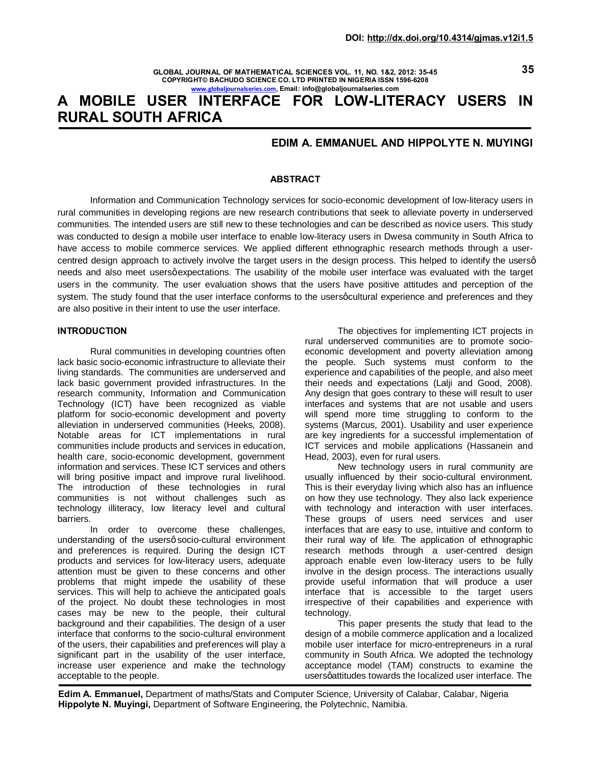**GLOBAL JOURNAL OF MATHEMATICAL SCIENCES VOL. 11, NO. 1&2, 2012: 35-45 COPYRIGHT© BACHUDO SCIENCE CO. LTD PRINTED IN NIGERIA ISSN 1596-6208 www.globaljournalseries.com, Email: info@globaljournalseries.com**

# **A MOBILE USER INTERFACE FOR LOW-LITERACY USERS IN RURAL SOUTH AFRICA**

**EDIM A. EMMANUEL AND HIPPOLYTE N. MUYINGI**

#### **ABSTRACT**

Information and Communication Technology services for socio-economic development of low-literacy users in rural communities in developing regions are new research contributions that seek to alleviate poverty in underserved communities. The intended users are still new to these technologies and can be described as novice users. This study was conducted to design a mobile user interface to enable low-literacy users in Dwesa community in South Africa to have access to mobile commerce services. We applied different ethnographic research methods through a usercentred design approach to actively involve the target users in the design process. This helped to identify the usersq needs and also meet usersgexpectations. The usability of the mobile user interface was evaluated with the target users in the community. The user evaluation shows that the users have positive attitudes and perception of the system. The study found that the user interface conforms to the users qcultural experience and preferences and they are also positive in their intent to use the user interface.

## **INTRODUCTION**

Rural communities in developing countries often lack basic socio-economic infrastructure to alleviate their living standards. The communities are underserved and lack basic government provided infrastructures. In the research community, Information and Communication Technology (ICT) have been recognized as viable platform for socio-economic development and poverty alleviation in underserved communities (Heeks, 2008). Notable areas for ICT implementations in rural communities include products and services in education, health care, socio-economic development, government information and services. These ICT services and others will bring positive impact and improve rural livelihood. The introduction of these technologies in rural communities is not without challenges such as technology illiteracy, low literacy level and cultural barriers.

In order to overcome these challenges, understanding of the usersq socio-cultural environment and preferences is required. During the design ICT products and services for low-literacy users, adequate attention must be given to these concerns and other problems that might impede the usability of these services. This will help to achieve the anticipated goals of the project. No doubt these technologies in most cases may be new to the people, their cultural background and their capabilities. The design of a user interface that conforms to the socio-cultural environment of the users, their capabilities and preferences will play a significant part in the usability of the user interface, increase user experience and make the technology acceptable to the people.

The objectives for implementing ICT projects in rural underserved communities are to promote socioeconomic development and poverty alleviation among the people. Such systems must conform to the experience and capabilities of the people, and also meet their needs and expectations (Lalji and Good, 2008). Any design that goes contrary to these will result to user interfaces and systems that are not usable and users will spend more time struggling to conform to the systems (Marcus, 2001). Usability and user experience are key ingredients for a successful implementation of ICT services and mobile applications (Hassanein and Head, 2003), even for rural users.

New technology users in rural community are usually influenced by their socio-cultural environment. This is their everyday living which also has an influence on how they use technology. They also lack experience with technology and interaction with user interfaces. These groups of users need services and user interfaces that are easy to use, intuitive and conform to their rural way of life. The application of ethnographic research methods through a user-centred design approach enable even low-literacy users to be fully involve in the design process. The interactions usually provide useful information that will produce a user interface that is accessible to the target users irrespective of their capabilities and experience with technology.

This paper presents the study that lead to the design of a mobile commerce application and a localized mobile user interface for micro-entrepreneurs in a rural community in South Africa. We adopted the technology acceptance model (TAM) constructs to examine the users qattitudes towards the localized user interface. The

**Edim A. Emmanuel,** Department of maths/Stats and Computer Science, University of Calabar, Calabar, Nigeria **Hippolyte N. Muyingi,** Department of Software Engineering, the Polytechnic, Namibia.

**35**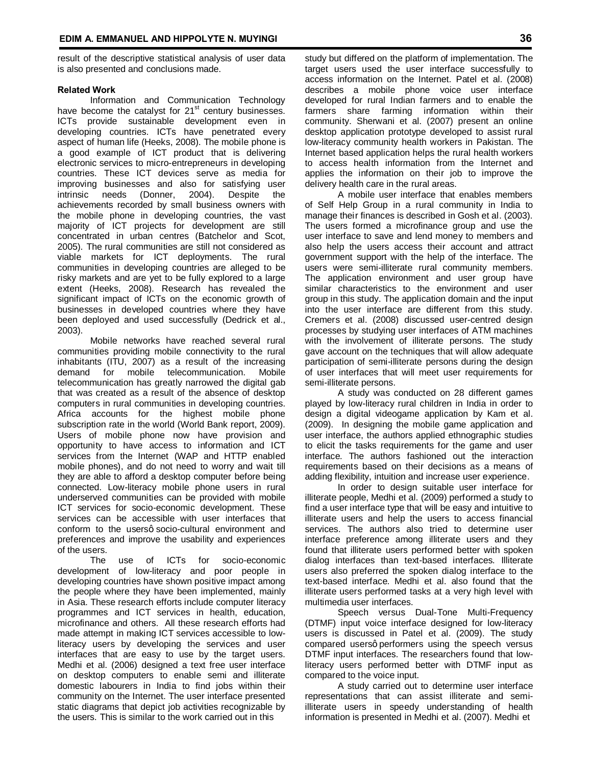result of the descriptive statistical analysis of user data is also presented and conclusions made.

## **Related Work**

Information and Communication Technology have become the catalyst for  $21<sup>st</sup>$  century businesses. ICTs provide sustainable development even in developing countries. ICTs have penetrated every aspect of human life (Heeks, 2008). The mobile phone is a good example of ICT product that is delivering electronic services to micro-entrepreneurs in developing countries. These ICT devices serve as media for improving businesses and also for satisfying user intrinsic needs (Donner, 2004). Despite the achievements recorded by small business owners with the mobile phone in developing countries, the vast majority of ICT projects for development are still concentrated in urban centres (Batchelor and Scot, 2005). The rural communities are still not considered as viable markets for ICT deployments. The rural communities in developing countries are alleged to be risky markets and are yet to be fully explored to a large extent (Heeks, 2008). Research has revealed the significant impact of ICTs on the economic growth of businesses in developed countries where they have been deployed and used successfully (Dedrick et al., 2003).

Mobile networks have reached several rural communities providing mobile connectivity to the rural inhabitants (ITU, 2007) as a result of the increasing demand for mobile telecommunication. Mobile telecommunication has greatly narrowed the digital gab that was created as a result of the absence of desktop computers in rural communities in developing countries. Africa accounts for the highest mobile phone subscription rate in the world (World Bank report, 2009). Users of mobile phone now have provision and opportunity to have access to information and ICT services from the Internet (WAP and HTTP enabled mobile phones), and do not need to worry and wait till they are able to afford a desktop computer before being connected. Low-literacy mobile phone users in rural underserved communities can be provided with mobile ICT services for socio-economic development. These services can be accessible with user interfaces that conform to the usersq socio-cultural environment and preferences and improve the usability and experiences of the users.

The use of ICTs for socio-economic development of low-literacy and poor people in developing countries have shown positive impact among the people where they have been implemented, mainly in Asia. These research efforts include computer literacy programmes and ICT services in health, education, microfinance and others. All these research efforts had made attempt in making ICT services accessible to lowliteracy users by developing the services and user interfaces that are easy to use by the target users. Medhi et al. (2006) designed a text free user interface on desktop computers to enable semi and illiterate domestic labourers in India to find jobs within their community on the Internet. The user interface presented static diagrams that depict job activities recognizable by the users. This is similar to the work carried out in this

study but differed on the platform of implementation. The target users used the user interface successfully to access information on the Internet. Patel et al. (2008) describes a mobile phone voice user interface developed for rural Indian farmers and to enable the farmers share farming information within their community. Sherwani et al. (2007) present an online desktop application prototype developed to assist rural low-literacy community health workers in Pakistan. The Internet based application helps the rural health workers to access health information from the Internet and applies the information on their job to improve the delivery health care in the rural areas.

A mobile user interface that enables members of Self Help Group in a rural community in India to manage their finances is described in Gosh et al. (2003). The users formed a microfinance group and use the user interface to save and lend money to members and also help the users access their account and attract government support with the help of the interface. The users were semi-illiterate rural community members. The application environment and user group have similar characteristics to the environment and user group in this study. The application domain and the input into the user interface are different from this study. Cremers et al. (2008) discussed user-centred design processes by studying user interfaces of ATM machines with the involvement of illiterate persons. The study gave account on the techniques that will allow adequate participation of semi-illiterate persons during the design of user interfaces that will meet user requirements for semi-illiterate persons.

A study was conducted on 28 different games played by low-literacy rural children in India in order to design a digital videogame application by Kam et al. (2009). In designing the mobile game application and user interface, the authors applied ethnographic studies to elicit the tasks requirements for the game and user interface. The authors fashioned out the interaction requirements based on their decisions as a means of adding flexibility, intuition and increase user experience.

In order to design suitable user interface for illiterate people, Medhi et al. (2009) performed a study to find a user interface type that will be easy and intuitive to illiterate users and help the users to access financial services. The authors also tried to determine user interface preference among illiterate users and they found that illiterate users performed better with spoken dialog interfaces than text-based interfaces. Illiterate users also preferred the spoken dialog interface to the text-based interface. Medhi et al. also found that the illiterate users performed tasks at a very high level with multimedia user interfaces.

Speech versus Dual-Tone Multi-Frequency (DTMF) input voice interface designed for low-literacy users is discussed in Patel et al. (2009). The study compared usersq performers using the speech versus DTMF input interfaces. The researchers found that lowliteracy users performed better with DTMF input as compared to the voice input.

A study carried out to determine user interface representations that can assist illiterate and semiilliterate users in speedy understanding of health information is presented in Medhi et al. (2007). Medhi et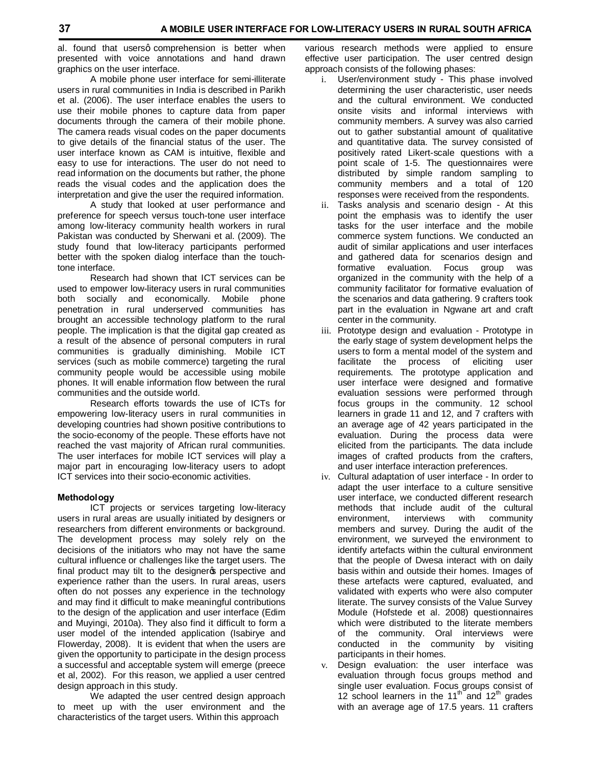al. found that usersq comprehension is better when presented with voice annotations and hand drawn graphics on the user interface.

A mobile phone user interface for semi-illiterate users in rural communities in India is described in Parikh et al. (2006). The user interface enables the users to use their mobile phones to capture data from paper documents through the camera of their mobile phone. The camera reads visual codes on the paper documents to give details of the financial status of the user. The user interface known as CAM is intuitive, flexible and easy to use for interactions. The user do not need to read information on the documents but rather, the phone reads the visual codes and the application does the interpretation and give the user the required information.

A study that looked at user performance and preference for speech versus touch-tone user interface among low-literacy community health workers in rural Pakistan was conducted by Sherwani et al. (2009). The study found that low-literacy participants performed better with the spoken dialog interface than the touchtone interface.

Research had shown that ICT services can be used to empower low-literacy users in rural communities both socially and economically. Mobile phone penetration in rural underserved communities has brought an accessible technology platform to the rural people. The implication is that the digital gap created as a result of the absence of personal computers in rural communities is gradually diminishing. Mobile ICT services (such as mobile commerce) targeting the rural community people would be accessible using mobile phones. It will enable information flow between the rural communities and the outside world.

Research efforts towards the use of ICTs for empowering low-literacy users in rural communities in developing countries had shown positive contributions to the socio-economy of the people. These efforts have not reached the vast majority of African rural communities. The user interfaces for mobile ICT services will play a major part in encouraging low-literacy users to adopt ICT services into their socio-economic activities.

## **Methodology**

ICT projects or services targeting low-literacy users in rural areas are usually initiated by designers or researchers from different environments or background. The development process may solely rely on the decisions of the initiators who may not have the same cultural influence or challenges like the target users. The final product may tilt to the designer oper spective and experience rather than the users. In rural areas, users often do not posses any experience in the technology and may find it difficult to make meaningful contributions to the design of the application and user interface (Edim and Muyingi, 2010a). They also find it difficult to form a user model of the intended application (Isabirye and Flowerday, 2008). It is evident that when the users are given the opportunity to participate in the design process a successful and acceptable system will emerge (preece et al, 2002). For this reason, we applied a user centred design approach in this study.

We adapted the user centred design approach to meet up with the user environment and the characteristics of the target users. Within this approach

various research methods were applied to ensure effective user participation. The user centred design approach consists of the following phases:

- i. User/environment study This phase involved determining the user characteristic, user needs and the cultural environment. We conducted onsite visits and informal interviews with community members. A survey was also carried out to gather substantial amount of qualitative and quantitative data. The survey consisted of positively rated Likert-scale questions with a point scale of 1-5. The questionnaires were distributed by simple random sampling to community members and a total of 120 responses were received from the respondents.
- ii. Tasks analysis and scenario design At this point the emphasis was to identify the user tasks for the user interface and the mobile commerce system functions. We conducted an audit of similar applications and user interfaces and gathered data for scenarios design and formative evaluation. Focus group was organized in the community with the help of a community facilitator for formative evaluation of the scenarios and data gathering. 9 crafters took part in the evaluation in Ngwane art and craft center in the community.
- iii. Prototype design and evaluation Prototype in the early stage of system development helps the users to form a mental model of the system and facilitate the process of eliciting user requirements. The prototype application and user interface were designed and formative evaluation sessions were performed through focus groups in the community. 12 school learners in grade 11 and 12, and 7 crafters with an average age of 42 years participated in the evaluation. During the process data were elicited from the participants. The data include images of crafted products from the crafters, and user interface interaction preferences.
- iv. Cultural adaptation of user interface In order to adapt the user interface to a culture sensitive user interface, we conducted different research methods that include audit of the cultural environment, interviews with community members and survey. During the audit of the environment, we surveyed the environment to identify artefacts within the cultural environment that the people of Dwesa interact with on daily basis within and outside their homes. Images of these artefacts were captured, evaluated, and validated with experts who were also computer literate. The survey consists of the Value Survey Module (Hofstede et al. 2008) questionnaires which were distributed to the literate members of the community. Oral interviews were conducted in the community by visiting participants in their homes.
- v. Design evaluation: the user interface was evaluation through focus groups method and single user evaluation. Focus groups consist of 12 school learners in the  $11<sup>th</sup>$  and  $12<sup>th</sup>$  grades with an average age of 17.5 years. 11 crafters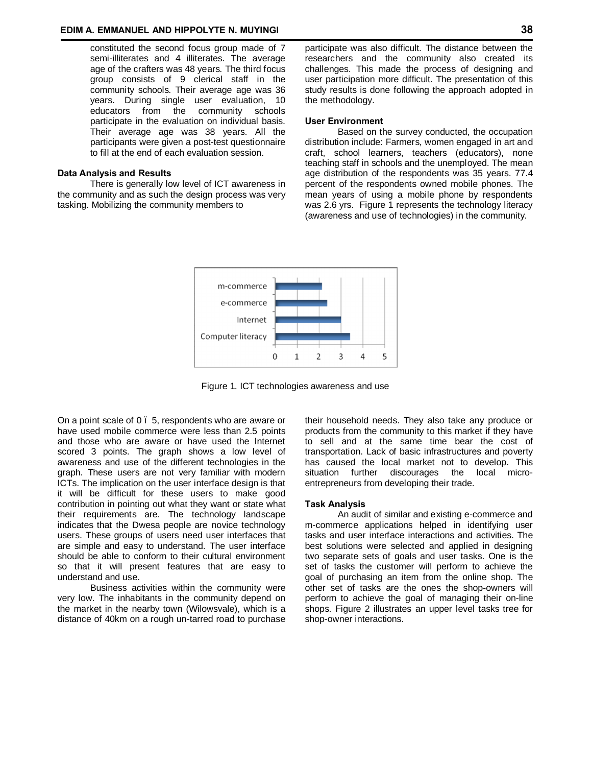constituted the second focus group made of 7 semi-illiterates and 4 illiterates. The average age of the crafters was 48 years. The third focus group consists of 9 clerical staff in the community schools. Their average age was 36 years. During single user evaluation, 10 educators from the community schools participate in the evaluation on individual basis. Their average age was 38 years. All the participants were given a post-test questionnaire to fill at the end of each evaluation session.

#### **Data Analysis and Results**

There is generally low level of ICT awareness in the community and as such the design process was very tasking. Mobilizing the community members to

participate was also difficult. The distance between the researchers and the community also created its challenges. This made the process of designing and user participation more difficult. The presentation of this study results is done following the approach adopted in the methodology.

## **User Environment**

Based on the survey conducted, the occupation distribution include: Farmers, women engaged in art and craft, school learners, teachers (educators), none teaching staff in schools and the unemployed. The mean age distribution of the respondents was 35 years. 77.4 percent of the respondents owned mobile phones. The mean years of using a mobile phone by respondents was 2.6 yrs. Figure 1 represents the technology literacy (awareness and use of technologies) in the community.



Figure 1. ICT technologies awareness and use

On a point scale of 0 . 5, respondents who are aware or have used mobile commerce were less than 2.5 points and those who are aware or have used the Internet scored 3 points. The graph shows a low level of awareness and use of the different technologies in the graph. These users are not very familiar with modern ICTs. The implication on the user interface design is that it will be difficult for these users to make good contribution in pointing out what they want or state what their requirements are. The technology landscape indicates that the Dwesa people are novice technology users. These groups of users need user interfaces that are simple and easy to understand. The user interface should be able to conform to their cultural environment so that it will present features that are easy to understand and use.

Business activities within the community were very low. The inhabitants in the community depend on the market in the nearby town (Wilowsvale), which is a distance of 40km on a rough un-tarred road to purchase their household needs. They also take any produce or products from the community to this market if they have to sell and at the same time bear the cost of transportation. Lack of basic infrastructures and poverty has caused the local market not to develop. This situation further discourages the local microentrepreneurs from developing their trade.

#### **Task Analysis**

An audit of similar and existing e-commerce and m-commerce applications helped in identifying user tasks and user interface interactions and activities. The best solutions were selected and applied in designing two separate sets of goals and user tasks. One is the set of tasks the customer will perform to achieve the goal of purchasing an item from the online shop. The other set of tasks are the ones the shop-owners will perform to achieve the goal of managing their on-line shops. Figure 2 illustrates an upper level tasks tree for shop-owner interactions.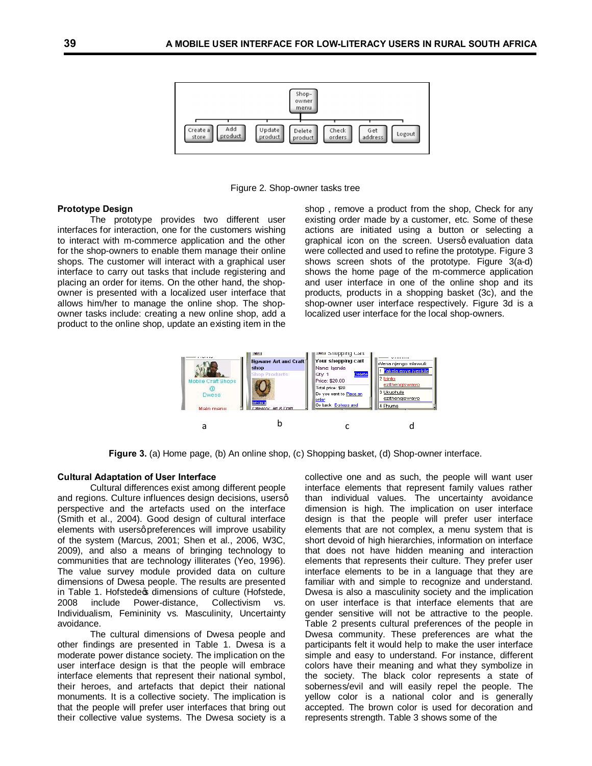

Figure 2. Shop-owner tasks tree

#### **Prototype Design**

The prototype provides two different user interfaces for interaction, one for the customers wishing to interact with m-commerce application and the other for the shop-owners to enable them manage their online shops. The customer will interact with a graphical user interface to carry out tasks that include registering and placing an order for items. On the other hand, the shopowner is presented with a localized user interface that allows him/her to manage the online shop. The shopowner tasks include: creating a new online shop, add a product to the online shop, update an existing item in the

shop , remove a product from the shop, Check for any existing order made by a customer, etc. Some of these actions are initiated using a button or selecting a graphical icon on the screen. Usersq evaluation data were collected and used to refine the prototype. Figure 3 shows screen shots of the prototype. Figure 3(a-d) shows the home page of the m-commerce application and user interface in one of the online shop and its products, products in a shopping basket (3c), and the shop-owner user interface respectively. Figure 3d is a localized user interface for the local shop-owners.



**Figure 3.** (a) Home page, (b) An online shop, (c) Shopping basket, (d) Shop-owner interface.

#### **Cultural Adaptation of User Interface**

Cultural differences exist among different people and regions. Culture influences design decisions, usersq perspective and the artefacts used on the interface (Smith et al., 2004). Good design of cultural interface elements with usersq preferences will improve usability of the system (Marcus, 2001; Shen et al., 2006, W3C, 2009), and also a means of bringing technology to communities that are technology illiterates (Yeo, 1996). The value survey module provided data on culture dimensions of Dwesa people. The results are presented in Table 1. Hofstedes dimensions of culture (Hofstede, 2008 include Power-distance, Collectivism vs. Individualism, Femininity vs. Masculinity, Uncertainty avoidance.

The cultural dimensions of Dwesa people and other findings are presented in Table 1. Dwesa is a moderate power distance society. The implication on the user interface design is that the people will embrace interface elements that represent their national symbol, their heroes, and artefacts that depict their national monuments. It is a collective society. The implication is that the people will prefer user interfaces that bring out their collective value systems. The Dwesa society is a collective one and as such, the people will want user interface elements that represent family values rather than individual values. The uncertainty avoidance dimension is high. The implication on user interface design is that the people will prefer user interface elements that are not complex, a menu system that is short devoid of high hierarchies, information on interface that does not have hidden meaning and interaction elements that represents their culture. They prefer user interface elements to be in a language that they are familiar with and simple to recognize and understand. Dwesa is also a masculinity society and the implication on user interface is that interface elements that are gender sensitive will not be attractive to the people. Table 2 presents cultural preferences of the people in Dwesa community. These preferences are what the participants felt it would help to make the user interface simple and easy to understand. For instance, different colors have their meaning and what they symbolize in the society. The black color represents a state of soberness/evil and will easily repel the people. The yellow color is a national color and is generally accepted. The brown color is used for decoration and represents strength. Table 3 shows some of the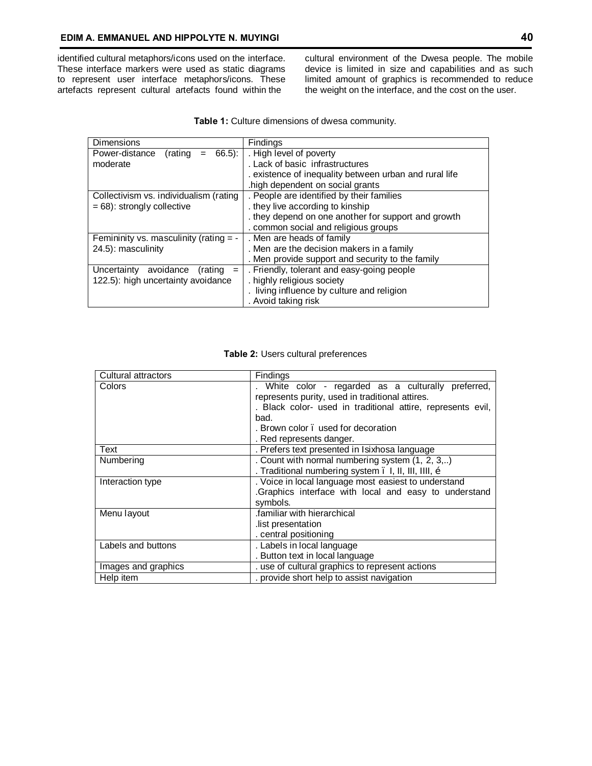identified cultural metaphors/icons used on the interface. These interface markers were used as static diagrams to represent user interface metaphors/icons. These artefacts represent cultural artefacts found within the

cultural environment of the Dwesa people. The mobile device is limited in size and capabilities and as such limited amount of graphics is recommended to reduce the weight on the interface, and the cost on the user.

**Table 1:** Culture dimensions of dwesa community.

| <b>Dimensions</b>                              | <b>Findings</b>                                        |  |
|------------------------------------------------|--------------------------------------------------------|--|
| Power-distance<br>$66.5$ :  <br>(rating<br>$=$ | . High level of poverty                                |  |
| moderate                                       | . Lack of basic infrastructures                        |  |
|                                                | . existence of inequality between urban and rural life |  |
|                                                | high dependent on social grants                        |  |
| Collectivism vs. individualism (rating         | . People are identified by their families              |  |
| $= 68$ : strongly collective                   | . they live according to kinship                       |  |
|                                                | . they depend on one another for support and growth    |  |
|                                                | . common social and religious groups                   |  |
| Femininity vs. masculinity (rating $= -$       | . Men are heads of family                              |  |
| 24.5): masculinity                             | . Men are the decision makers in a family              |  |
|                                                | . Men provide support and security to the family       |  |
| Uncertainty avoidance<br>(rating<br>$=$        | . Friendly, tolerant and easy-going people             |  |
| 122.5): high uncertainty avoidance             | . highly religious society                             |  |
|                                                | . living influence by culture and religion             |  |
|                                                | . Avoid taking risk                                    |  |

## **Table 2:** Users cultural preferences

| Cultural attractors | <b>Findings</b>                                             |  |  |  |  |
|---------------------|-------------------------------------------------------------|--|--|--|--|
| Colors              | White color - regarded as a culturally preferred,           |  |  |  |  |
|                     | represents purity, used in traditional attires.             |  |  |  |  |
|                     | . Black color- used in traditional attire, represents evil, |  |  |  |  |
|                     | bad.                                                        |  |  |  |  |
|                     | . Brown color, used for decoration                          |  |  |  |  |
|                     | . Red represents danger.                                    |  |  |  |  |
| Text                | . Prefers text presented in Isixhosa language               |  |  |  |  |
| Numbering           | . Count with normal numbering system (1, 2, 3,)             |  |  |  |  |
|                     | . Traditional numbering system . I, II, III, IIII, õ        |  |  |  |  |
| Interaction type    | . Voice in local language most easiest to understand        |  |  |  |  |
|                     | .Graphics interface with local and easy to understand       |  |  |  |  |
|                     | symbols.                                                    |  |  |  |  |
| Menu layout         | familiar with hierarchical                                  |  |  |  |  |
|                     | list presentation.                                          |  |  |  |  |
|                     | . central positioning                                       |  |  |  |  |
| Labels and buttons  | . Labels in local language                                  |  |  |  |  |
|                     | . Button text in local language                             |  |  |  |  |
| Images and graphics | . use of cultural graphics to represent actions             |  |  |  |  |
| Help item           | . provide short help to assist navigation                   |  |  |  |  |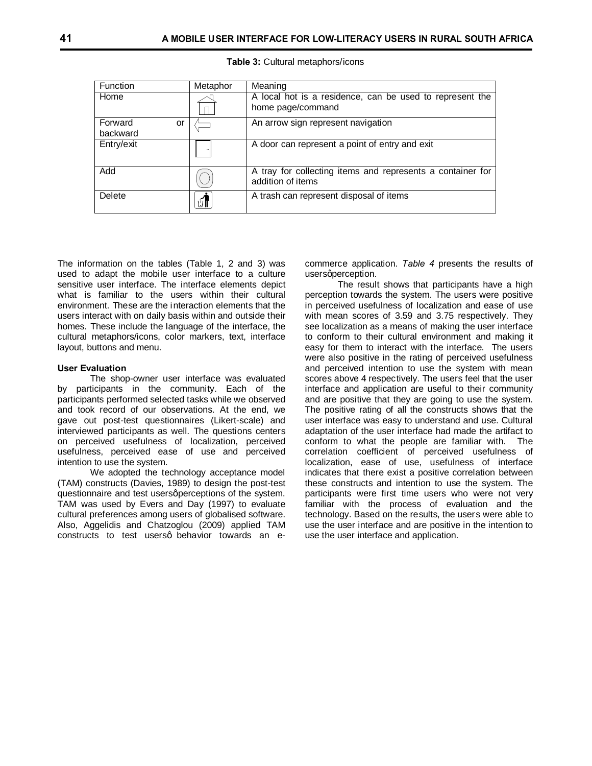| Function      | Metaphor | Meaning                                                                         |  |  |
|---------------|----------|---------------------------------------------------------------------------------|--|--|
| Home          |          | A local hot is a residence, can be used to represent the<br>home page/command   |  |  |
|               |          |                                                                                 |  |  |
| Forward<br>or |          | An arrow sign represent navigation                                              |  |  |
| backward      |          |                                                                                 |  |  |
| Entry/exit    |          | A door can represent a point of entry and exit                                  |  |  |
| Add           |          | A tray for collecting items and represents a container for<br>addition of items |  |  |
| Delete        | M.       | A trash can represent disposal of items                                         |  |  |

#### **Table 3:** Cultural metaphors/icons

The information on the tables (Table 1, 2 and 3) was used to adapt the mobile user interface to a culture sensitive user interface. The interface elements depict what is familiar to the users within their cultural environment. These are the interaction elements that the users interact with on daily basis within and outside their homes. These include the language of the interface, the cultural metaphors/icons, color markers, text, interface layout, buttons and menu.

## **User Evaluation**

The shop-owner user interface was evaluated by participants in the community. Each of the participants performed selected tasks while we observed and took record of our observations. At the end, we gave out post-test questionnaires (Likert-scale) and interviewed participants as well. The questions centers on perceived usefulness of localization, perceived usefulness, perceived ease of use and perceived intention to use the system.

We adopted the technology acceptance model (TAM) constructs (Davies, 1989) to design the post-test questionnaire and test users aperceptions of the system. TAM was used by Evers and Day (1997) to evaluate cultural preferences among users of globalised software. Also, Aggelidis and Chatzoglou (2009) applied TAM constructs to test usersq behavior towards an ecommerce application. *Table 4* presents the results of usersqperception.

The result shows that participants have a high perception towards the system. The users were positive in perceived usefulness of localization and ease of use with mean scores of 3.59 and 3.75 respectively. They see localization as a means of making the user interface to conform to their cultural environment and making it easy for them to interact with the interface. The users were also positive in the rating of perceived usefulness and perceived intention to use the system with mean scores above 4 respectively. The users feel that the user interface and application are useful to their community and are positive that they are going to use the system. The positive rating of all the constructs shows that the user interface was easy to understand and use. Cultural adaptation of the user interface had made the artifact to conform to what the people are familiar with. The correlation coefficient of perceived usefulness of localization, ease of use, usefulness of interface indicates that there exist a positive correlation between these constructs and intention to use the system. The participants were first time users who were not very familiar with the process of evaluation and the technology. Based on the results, the users were able to use the user interface and are positive in the intention to use the user interface and application.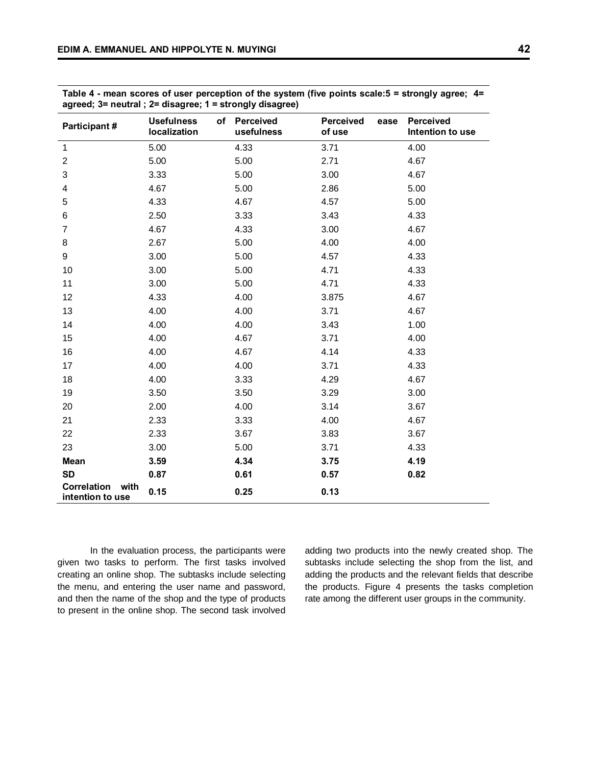| Participant#                            | $-$ nounar, $2-$ aroughoo, $1-$ on ongry aroughoo,<br><b>Usefulness</b><br>localization | of Perceived<br>usefulness | Perceived<br>ease<br>of use | Perceived<br>Intention to use |
|-----------------------------------------|-----------------------------------------------------------------------------------------|----------------------------|-----------------------------|-------------------------------|
| $\mathbf 1$                             | 5.00                                                                                    | 4.33                       | 3.71                        | 4.00                          |
|                                         |                                                                                         |                            |                             |                               |
| $\overline{\mathbf{c}}$                 | 5.00                                                                                    | 5.00                       | 2.71                        | 4.67                          |
| 3                                       | 3.33                                                                                    | 5.00                       | 3.00                        | 4.67                          |
| 4                                       | 4.67                                                                                    | 5.00                       | 2.86                        | 5.00                          |
| 5                                       | 4.33                                                                                    | 4.67                       | 4.57                        | 5.00                          |
| 6                                       | 2.50                                                                                    | 3.33                       | 3.43                        | 4.33                          |
| 7                                       | 4.67                                                                                    | 4.33                       | 3.00                        | 4.67                          |
| 8                                       | 2.67                                                                                    | 5.00                       | 4.00                        | 4.00                          |
| 9                                       | 3.00                                                                                    | 5.00                       | 4.57                        | 4.33                          |
| 10                                      | 3.00                                                                                    | 5.00                       | 4.71                        | 4.33                          |
| 11                                      | 3.00                                                                                    | 5.00                       | 4.71                        | 4.33                          |
| 12                                      | 4.33                                                                                    | 4.00                       | 3.875                       | 4.67                          |
| 13                                      | 4.00                                                                                    | 4.00                       | 3.71                        | 4.67                          |
| 14                                      | 4.00                                                                                    | 4.00                       | 3.43                        | 1.00                          |
| 15                                      | 4.00                                                                                    | 4.67                       | 3.71                        | 4.00                          |
| 16                                      | 4.00                                                                                    | 4.67                       | 4.14                        | 4.33                          |
| 17                                      | 4.00                                                                                    | 4.00                       | 3.71                        | 4.33                          |
| 18                                      | 4.00                                                                                    | 3.33                       | 4.29                        | 4.67                          |
| 19                                      | 3.50                                                                                    | 3.50                       | 3.29                        | 3.00                          |
| 20                                      | 2.00                                                                                    | 4.00                       | 3.14                        | 3.67                          |
| 21                                      | 2.33                                                                                    | 3.33                       | 4.00                        | 4.67                          |
| 22                                      | 2.33                                                                                    | 3.67                       | 3.83                        | 3.67                          |
| 23                                      | 3.00                                                                                    | 5.00                       | 3.71                        | 4.33                          |
| Mean                                    | 3.59                                                                                    | 4.34                       | 3.75                        | 4.19                          |
| <b>SD</b>                               | 0.87                                                                                    | 0.61                       | 0.57                        | 0.82                          |
| Correlation<br>with<br>intention to use | 0.15                                                                                    | 0.25                       | 0.13                        |                               |

**Table 4 - mean scores of user perception of the system (five points scale:5 = strongly agree; 4= agreed; 3= neutral ; 2= disagree; 1 = strongly disagree)**

In the evaluation process, the participants were given two tasks to perform. The first tasks involved creating an online shop. The subtasks include selecting the menu, and entering the user name and password, and then the name of the shop and the type of products to present in the online shop. The second task involved

adding two products into the newly created shop. The subtasks include selecting the shop from the list, and adding the products and the relevant fields that describe the products. Figure 4 presents the tasks completion rate among the different user groups in the community.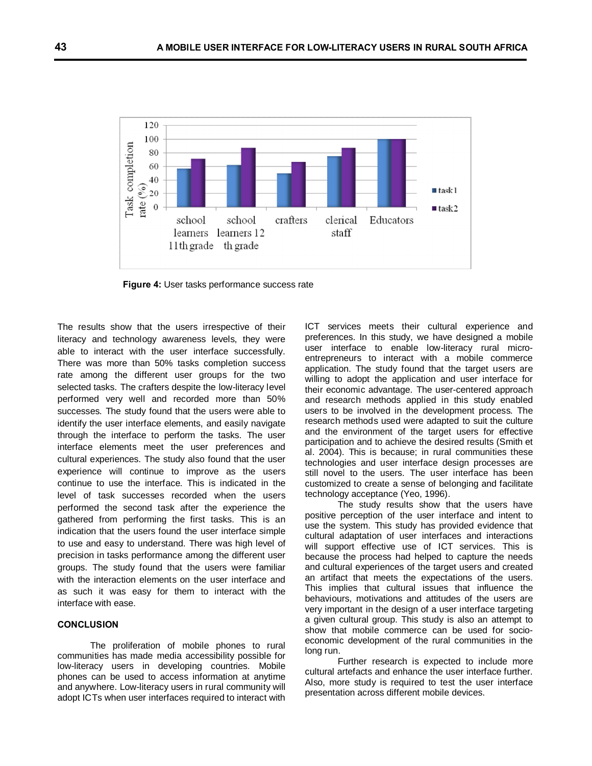

**Figure 4:** User tasks performance success rate

The results show that the users irrespective of their literacy and technology awareness levels, they were able to interact with the user interface successfully. There was more than 50% tasks completion success rate among the different user groups for the two selected tasks. The crafters despite the low-literacy level performed very well and recorded more than 50% successes. The study found that the users were able to identify the user interface elements, and easily navigate through the interface to perform the tasks. The user interface elements meet the user preferences and cultural experiences. The study also found that the user experience will continue to improve as the users continue to use the interface. This is indicated in the level of task successes recorded when the users performed the second task after the experience the gathered from performing the first tasks. This is an indication that the users found the user interface simple to use and easy to understand. There was high level of precision in tasks performance among the different user groups. The study found that the users were familiar with the interaction elements on the user interface and as such it was easy for them to interact with the interface with ease.

## **CONCLUSION**

The proliferation of mobile phones to rural communities has made media accessibility possible for low-literacy users in developing countries. Mobile phones can be used to access information at anytime and anywhere. Low-literacy users in rural community will adopt ICTs when user interfaces required to interact with

ICT services meets their cultural experience and preferences. In this study, we have designed a mobile user interface to enable low-literacy rural microentrepreneurs to interact with a mobile commerce application. The study found that the target users are willing to adopt the application and user interface for their economic advantage. The user-centered approach and research methods applied in this study enabled users to be involved in the development process. The research methods used were adapted to suit the culture and the environment of the target users for effective participation and to achieve the desired results (Smith et al. 2004). This is because; in rural communities these technologies and user interface design processes are still novel to the users. The user interface has been customized to create a sense of belonging and facilitate technology acceptance (Yeo, 1996).

The study results show that the users have positive perception of the user interface and intent to use the system. This study has provided evidence that cultural adaptation of user interfaces and interactions will support effective use of ICT services. This is because the process had helped to capture the needs and cultural experiences of the target users and created an artifact that meets the expectations of the users. This implies that cultural issues that influence the behaviours, motivations and attitudes of the users are very important in the design of a user interface targeting a given cultural group. This study is also an attempt to show that mobile commerce can be used for socioeconomic development of the rural communities in the long run.

Further research is expected to include more cultural artefacts and enhance the user interface further. Also, more study is required to test the user interface presentation across different mobile devices.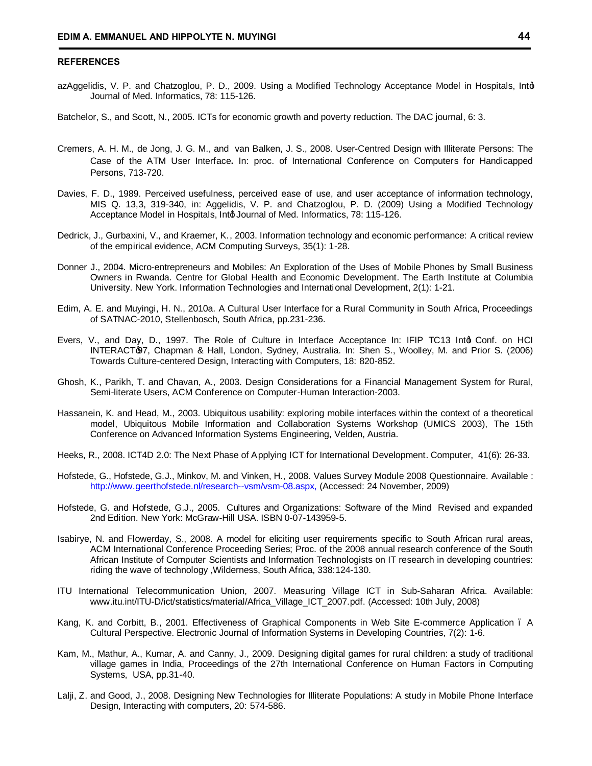## **REFERENCES**

- azAggelidis, V. P. and Chatzoglou, P. D., 2009. Using a Modified Technology Acceptance Model in Hospitals, Into Journal of Med. Informatics, 78: 115-126.
- Batchelor, S., and Scott, N., 2005. ICTs for economic growth and poverty reduction. The DAC journal, 6: 3.
- Cremers, A. H. M., de Jong, J. G. M., and van Balken, J. S., 2008. User-Centred Design with Illiterate Persons: The Case of the ATM User Interface**.** In: proc. of International Conference on Computers for Handicapped Persons, 713-720.
- Davies, F. D., 1989. Perceived usefulness, perceived ease of use, and user acceptance of information technology, MIS Q. 13,3, 319-340, in: Aggelidis, V. P. and Chatzoglou, P. D. (2009) Using a Modified Technology Acceptance Model in Hospitals, Intd Journal of Med. Informatics, 78: 115-126.
- Dedrick, J., Gurbaxini, V., and Kraemer, K., 2003. Information technology and economic performance: A critical review of the empirical evidence, ACM Computing Surveys, 35(1): 1-28.
- Donner J., 2004. Micro-entrepreneurs and Mobiles: An Exploration of the Uses of Mobile Phones by Small Business Owners in Rwanda. Centre for Global Health and Economic Development. The Earth Institute at Columbia University. New York. Information Technologies and International Development, 2(1): 1-21.
- Edim, A. E. and Muyingi, H. N., 2010a. A Cultural User Interface for a Rural Community in South Africa, Proceedings of SATNAC-2010, Stellenbosch, South Africa, pp.231-236.
- Evers, V., and Day, D., 1997. The Role of Culture in Interface Acceptance In: IFIP TC13 Intd Conf. on HCI INTERACT'97, Chapman & Hall, London, Sydney, Australia. In: Shen S., Woolley, M. and Prior S. (2006) Towards Culture-centered Design, Interacting with Computers, 18: 820-852.
- Ghosh, K., Parikh, T. and Chavan, A., 2003. Design Considerations for a Financial Management System for Rural, Semi-literate Users, ACM Conference on Computer-Human Interaction-2003.
- Hassanein, K. and Head, M., 2003. Ubiquitous usability: exploring mobile interfaces within the context of a theoretical model, Ubiquitous Mobile Information and Collaboration Systems Workshop (UMICS 2003), The 15th Conference on Advanced Information Systems Engineering, Velden, Austria.
- Heeks, R., 2008. ICT4D 2.0: The Next Phase of Applying ICT for International Development. Computer, 41(6): 26-33.
- Hofstede, G., Hofstede, G.J., Minkov, M. and Vinken, H., 2008. Values Survey Module 2008 Questionnaire. Available : http://www.geerthofstede.nl/research--vsm/vsm-08.aspx, (Accessed: 24 November, 2009)
- Hofstede, G. and Hofstede, G.J., 2005. Cultures and Organizations: Software of the Mind Revised and expanded 2nd Edition. New York: McGraw-Hill USA. ISBN 0-07-143959-5.
- Isabirye, N. and Flowerday, S., 2008. A model for eliciting user requirements specific to South African rural areas, ACM International Conference Proceeding Series; Proc. of the 2008 annual research conference of the South African Institute of Computer Scientists and Information Technologists on IT research in developing countries: riding the wave of technology ,Wilderness, South Africa, 338:124-130.
- ITU International Telecommunication Union, 2007. Measuring Village ICT in Sub-Saharan Africa. Available: www.itu.int/ITU-D/ict/statistics/material/Africa\_Village\_ICT\_2007.pdf. (Accessed: 10th July, 2008)
- Kang, K. and Corbitt, B., 2001. Effectiveness of Graphical Components in Web Site E-commerce Application A Cultural Perspective. Electronic Journal of Information Systems in Developing Countries, 7(2): 1-6.
- Kam, M., Mathur, A., Kumar, A. and Canny, J., 2009. Designing digital games for rural children: a study of traditional village games in India, Proceedings of the 27th International Conference on Human Factors in Computing Systems, USA, pp.31-40.
- Lalji, Z. and Good, J., 2008. Designing New Technologies for Illiterate Populations: A study in Mobile Phone Interface Design, Interacting with computers, 20: 574-586.